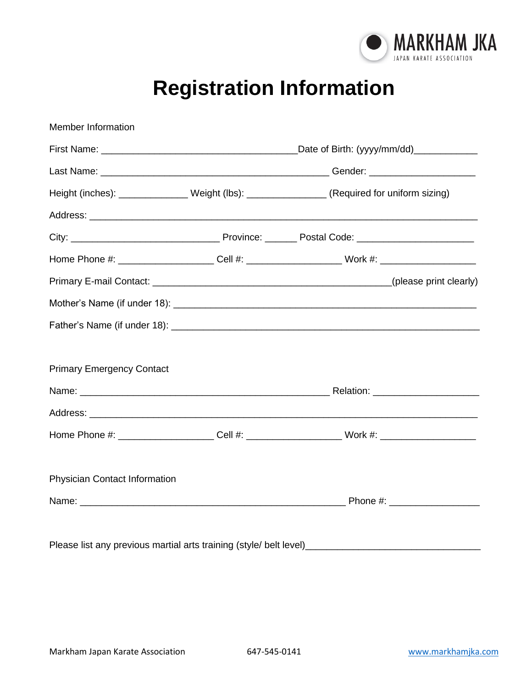

## **Registration Information**

| <b>Member Information</b>                                                  |                                                                                                      |
|----------------------------------------------------------------------------|------------------------------------------------------------------------------------------------------|
|                                                                            |                                                                                                      |
|                                                                            |                                                                                                      |
|                                                                            | Height (inches): _______________Weight (lbs): __________________(Required for uniform sizing)        |
|                                                                            |                                                                                                      |
|                                                                            |                                                                                                      |
|                                                                            | Home Phone #: _____________________Cell #: ______________________Work #: ___________________________ |
|                                                                            |                                                                                                      |
|                                                                            |                                                                                                      |
|                                                                            |                                                                                                      |
|                                                                            |                                                                                                      |
| <b>Primary Emergency Contact</b>                                           |                                                                                                      |
|                                                                            |                                                                                                      |
|                                                                            |                                                                                                      |
|                                                                            | Home Phone #: _____________________Cell #: ______________________Work #: ___________________________ |
|                                                                            |                                                                                                      |
| Physician Contact Information                                              |                                                                                                      |
|                                                                            |                                                                                                      |
|                                                                            |                                                                                                      |
| Please list any previous martial arts training (style/ belt level)________ |                                                                                                      |